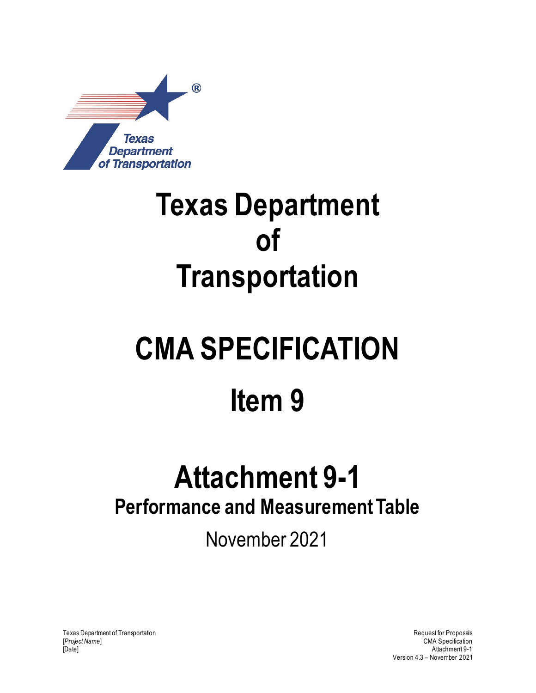

## **Texas Department of Transportation**

# **CMA SPECIFICATION Item 9**

### **Attachment 9-1 Performance and Measurement Table**

November 2021

Texas Department of Transportation and the control of Transportation Request for Proposals [*Project Name*] CMA Specification [Date] Attachment 9-1

Version 4.3 – November 2021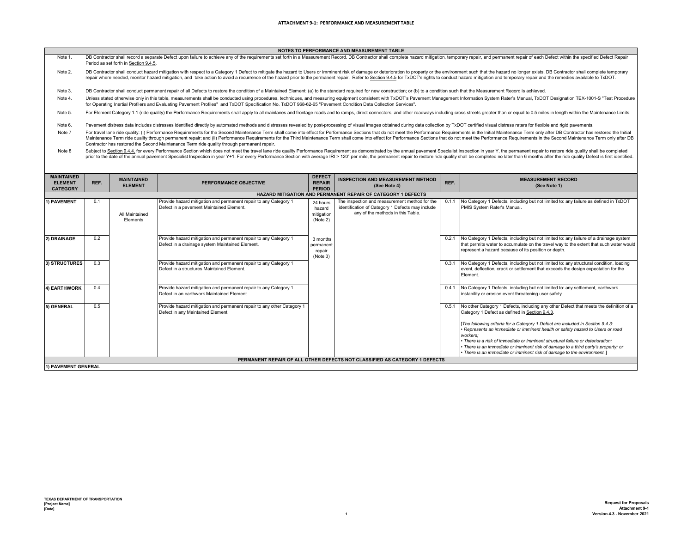| NOTES TO PERFORMANCE AND MEASUREMENT TABLE |  |  |
|--------------------------------------------|--|--|

- Note 1. NOTES TO PERFORMANCE AND MEASUREMENT TABLE<br>DB Contractor shall record a separate Defect upon failure to achieve any of the requirements set forth in a Measurement Record. DB Contractor shall complete hazard mitigation, tem Period as set forth in Section 9.4.5.
- Note 2. DB Contractor shall conduct hazard mitigation with respect to a Category 1 Defect to mitigate the hazard to Users or imminent risk of damage or deterioration to property or the environment such that the hazard no longer ex repair where needed, monitor hazard mitigation, and take action to avoid a recurrence of the hazard prior to the permanent repair. Refer to Section 9.4.5 for TxDOT's rights to conduct hazard mitigation and temporary repair
- Note 3. DB Contractor shall conduct permanent repair of all Defects to restore the condition of a Maintained Element: (a) to the standard required for new construction; or (b) to a condition such that the Measurement Record is ach
- Note 4. Unless stated otherwise only in this table, measurements shall be conducted using procedures, techniques, and measuring equipment consistent with TxDOT's Pavement Management Information System Rater's Manual, TxDOT Designa for Operating Inertial Profilers and Evaluating Pavement Profiles" and TxDOT Specification No. TxDOT 968-62-65 "Pavement Condition Data Collection Services".
- Note 5. For Element Category 1.1 (ride quality) the Performance Requirements shall apply to all mainlanes and frontage roads and to ramps, direct connectors, and other roadways including cross streets greater than or equal to 0.5
- Note 6. Pavement distress data includes distresses identified directly by automated methods and distresses revealed by post-processing of visual images obtained during data collection by TxDOT certified visual distress raters for
- Note 7 For travel lane ride quality: (i) Performance Requirements for the Second Maintenance Term shall come into effect for Performance Sections that do not meet the Performance Requirements in the Initial Maintenance Term only Maintenance Term ride quality through permanent repair; and (ii) Performance Requirements for the Third Maintenance Term shall come into effect for Performance Sections that do not meet the Performance Requirements in the Contractor has restored the Second Maintenance Term ride quality through permanent repair.
- Note 8 Subject to Section 9.4.4, for every Performance Section which does not meet the travel lane ride quality Performance Requirement as demonstrated by the annual pavement Specialist Inspection in year Y, the permanent repair prior to the date of the annual pavement Specialist Inspection in year Y+1. For every Performance Section with average IRI > 120" per mile, the permanent repair to restore ride quality shall be completed no later than 6 mo

| <b>MAINTAINED</b><br><b>ELEMENT</b><br><b>CATEGORY</b>              | REF. | <b>MAINTAINED</b><br><b>ELEMENT</b> | PERFORMANCE OBJECTIVE                                                                                               | <b>DEFECT</b><br><b>REPAIR</b><br><b>PERIOD</b> | <b>INSPECTION AND MEASUREMENT METHOD</b><br>(See Note 4)                                                                               | REF.  | <b>MEASUREMENT RECORD</b><br>(See Note 1)                                                                                                                                                                                                                                                                                                                                                                                                                                                                                                                                   |  |  |  |
|---------------------------------------------------------------------|------|-------------------------------------|---------------------------------------------------------------------------------------------------------------------|-------------------------------------------------|----------------------------------------------------------------------------------------------------------------------------------------|-------|-----------------------------------------------------------------------------------------------------------------------------------------------------------------------------------------------------------------------------------------------------------------------------------------------------------------------------------------------------------------------------------------------------------------------------------------------------------------------------------------------------------------------------------------------------------------------------|--|--|--|
| <b>HAZARD MITIGATION AND PERMANENT REPAIR OF CATEGORY 1 DEFECTS</b> |      |                                     |                                                                                                                     |                                                 |                                                                                                                                        |       |                                                                                                                                                                                                                                                                                                                                                                                                                                                                                                                                                                             |  |  |  |
| 1) PAVEMENT                                                         | 0.1  | All Maintained<br>Elements          | Provide hazard mitigation and permanent repair to any Category 1<br>Defect in a payement Maintained Element.        | 24 hours<br>hazard<br>mitigation<br>(Note 2)    | The inspection and measurement method for the<br>identification of Category 1 Defects may include<br>any of the methods in this Table. | 0.1.1 | No Category 1 Defects, including but not limited to: any failure as defined in TxDOT<br>PMIS System Rater's Manual.                                                                                                                                                                                                                                                                                                                                                                                                                                                         |  |  |  |
| 2) DRAINAGE                                                         | 0.2  |                                     | Provide hazard mitigation and permanent repair to any Category 1<br>Defect in a drainage system Maintained Element. | 3 months<br>permanent<br>repair<br>(Note 3)     |                                                                                                                                        | 0.2.1 | No Category 1 Defects, including but not limited to: any failure of a drainage system<br>that permits water to accumulate on the travel way to the extent that such water would<br>represent a hazard because of its position or depth.                                                                                                                                                                                                                                                                                                                                     |  |  |  |
| 3) STRUCTURES                                                       | 0.3  |                                     | Provide hazard-mitigation and permanent repair to any Category 1<br>Defect in a structures Maintained Element.      |                                                 |                                                                                                                                        | 0.3.1 | No Category 1 Defects, including but not limited to: any structural condition, loading<br>event, deflection, crack or settlement that exceeds the design expectation for the<br>Element.                                                                                                                                                                                                                                                                                                                                                                                    |  |  |  |
| 4) EARTHWORK                                                        | 0.4  |                                     | Provide hazard mitigation and permanent repair to any Category 1<br>Defect in an earthwork Maintained Element.      |                                                 |                                                                                                                                        | 0.4.1 | No Category 1 Defects, including but not limited to: any settlement, earthwork<br>instability or erosion event threatening user safety.                                                                                                                                                                                                                                                                                                                                                                                                                                     |  |  |  |
| 5) GENERAL                                                          | 0.5  |                                     | Provide hazard mitigation and permanent repair to any other Category 1<br>Defect in any Maintained Element.         |                                                 |                                                                                                                                        | 0.5.1 | No other Category 1 Defects, including any other Defect that meets the definition of a<br>Category 1 Defect as defined in Section 9.4.3.<br>[The following criteria for a Category 1 Defect are included in Section 9.4.3:<br>Represents an immediate or imminent health or safety hazard to Users or road<br>workers:<br>• There is a risk of immediate or imminent structural failure or deterioration:<br>· There is an immediate or imminent risk of damage to a third party's property; or<br>· There is an immediate or imminent risk of damage to the environment. ] |  |  |  |
|                                                                     |      |                                     |                                                                                                                     |                                                 | PERMANENT REPAIR OF ALL OTHER DEFECTS NOT CLASSIFIED AS CATEGORY 1 DEFECTS                                                             |       |                                                                                                                                                                                                                                                                                                                                                                                                                                                                                                                                                                             |  |  |  |
| 1) PAVEMENT GENERAL                                                 |      |                                     |                                                                                                                     |                                                 |                                                                                                                                        |       |                                                                                                                                                                                                                                                                                                                                                                                                                                                                                                                                                                             |  |  |  |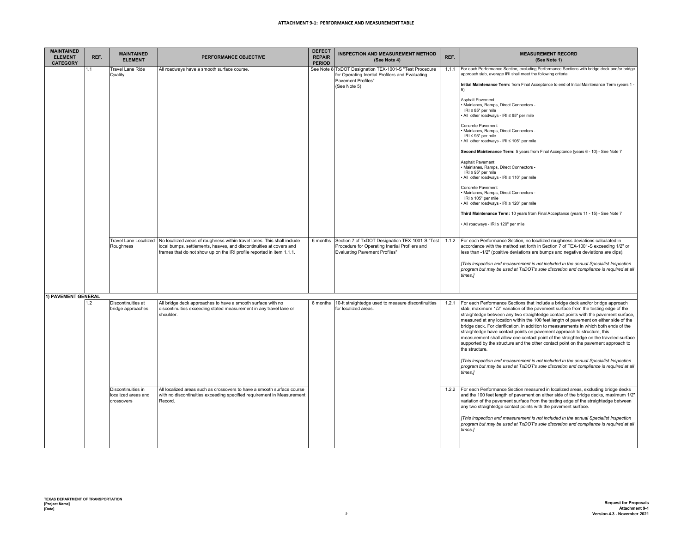### **ATTACHMENT 9-1: PERFORMANCE AND MEASUREMENT TABLE**

| <b>MAINTAINED</b><br><b>ELEMENT</b><br><b>CATEGORY</b> | REF.           | <b>MAINTAINED</b><br><b>ELEMENT</b>                     | PERFORMANCE OBJECTIVE                                                                                                                                                                                                   | <b>DEFECT</b><br><b>REPAIR</b><br><b>PERIOD</b> | <b>INSPECTION AND MEASUREMENT METHOD</b><br>(See Note 4)                                                                                  | REF.  | <b>MEASUREMENT RECORD</b><br>(See Note 1)                                                                                                                                                                                                                                                                                                                                                                                                                                                                                                                                                                                                                                                                                                                                                                                                                                                                                                                                                                                                              |
|--------------------------------------------------------|----------------|---------------------------------------------------------|-------------------------------------------------------------------------------------------------------------------------------------------------------------------------------------------------------------------------|-------------------------------------------------|-------------------------------------------------------------------------------------------------------------------------------------------|-------|--------------------------------------------------------------------------------------------------------------------------------------------------------------------------------------------------------------------------------------------------------------------------------------------------------------------------------------------------------------------------------------------------------------------------------------------------------------------------------------------------------------------------------------------------------------------------------------------------------------------------------------------------------------------------------------------------------------------------------------------------------------------------------------------------------------------------------------------------------------------------------------------------------------------------------------------------------------------------------------------------------------------------------------------------------|
|                                                        | .1             | Travel Lane Ride<br>Quality                             | All roadways have a smooth surface course.                                                                                                                                                                              | See Note &                                      | TxDOT Designation TEX-1001-S "Test Procedure<br>for Operating Inertial Profilers and Evaluating<br>Pavement Profiles"<br>(See Note 5)     | 1.1.1 | For each Performance Section, excluding Performance Sections with bridge deck and/or bridge<br>approach slab, average IRI shall meet the following criteria:<br>Initial Maintenance Term: from Final Acceptance to end of Initial Maintenance Term (years 1 -<br>5)<br><b>Asphalt Pavement</b><br>Mainlanes, Ramps, Direct Connectors -<br>$IRI \leq 85"$ per mile<br>All other roadways - IRI ≤ 95" per mile<br>Concrete Pavement<br>Mainlanes, Ramps, Direct Connectors -<br>$IRI \leq 95"$ per mile<br>All other roadways - IRI ≤ 105" per mile<br>Second Maintenance Term: 5 years from Final Acceptance (years 6 - 10) - See Note 7<br><b>Asphalt Pavement</b><br>Mainlanes, Ramps, Direct Connectors -<br>$IRI \leq 95"$ per mile<br>All other roadways - IRI ≤ 110" per mile<br>Concrete Pavement<br>Mainlanes, Ramps, Direct Connectors -<br>$IRI \leq 105"$ per mile<br>All other roadways - IRI ≤ 120" per mile<br>Third Maintenance Term: 10 years from Final Acceptance (years 11 - 15) - See Note 7<br>All roadways - IRI ≤ 120" per mile |
|                                                        |                | <b>Travel Lane Localized</b><br>Roughness               | No localized areas of roughness within travel lanes. This shall include<br>local bumps, settlements, heaves, and discontinuities at covers and<br>frames that do not show up on the IRI profile reported in item 1.1.1. | 6 months                                        | Section 7 of TxDOT Designation TEX-1001-S "Test<br>Procedure for Operating Inertial Profilers and<br><b>Evaluating Pavement Profiles"</b> | 1.1.2 | For each Performance Section, no localized roughness deviations calculated in<br>accordance with the method set forth in Section 7 of TEX-1001-S exceeding 1/2" or<br>less than -1/2" (positive deviations are bumps and negative deviations are dips).<br>[This inspection and measurement is not included in the annual Specialist Inspection<br>program but may be used at TxDOT's sole discretion and compliance is required at all<br>times.]                                                                                                                                                                                                                                                                                                                                                                                                                                                                                                                                                                                                     |
| 1) PAVEMENT GENERAL                                    |                |                                                         |                                                                                                                                                                                                                         |                                                 |                                                                                                                                           |       |                                                                                                                                                                                                                                                                                                                                                                                                                                                                                                                                                                                                                                                                                                                                                                                                                                                                                                                                                                                                                                                        |
|                                                        | $\overline{2}$ | Discontinuities at<br>bridge approaches                 | All bridge deck approaches to have a smooth surface with no<br>discontinuities exceeding stated measurement in any travel lane or<br>shoulder.                                                                          | 6 months                                        | 10-ft straightedge used to measure discontinuities<br>for localized areas.                                                                | 1.2.1 | For each Performance Sections that include a bridge deck and/or bridge approach<br>slab, maximum 1/2" variation of the pavement surface from the testing edge of the<br>straightedge between any two straightedge contact points with the pavement surface,<br>measured at any location within the 100 feet length of pavement on either side of the<br>bridge deck. For clarification, in addition to measurements in which both ends of the<br>straightedge have contact points on pavement approach to structure, this<br>measurement shall allow one contact point of the straightedge on the traveled surface<br>supported by the structure and the other contact point on the pavement approach to<br>the structure.<br>[This inspection and measurement is not included in the annual Specialist Inspection<br>program but may be used at TxDOT's sole discretion and compliance is required at all<br>times.]                                                                                                                                  |
|                                                        |                | Discontinuities in<br>localized areas and<br>crossovers | All localized areas such as crossovers to have a smooth surface course<br>with no discontinuities exceeding specified requirement in Measurement<br>Record.                                                             |                                                 |                                                                                                                                           | 1.2.2 | For each Performance Section measured in localized areas, excluding bridge decks<br>and the 100 feet length of pavement on either side of the bridge decks, maximum 1/2"<br>variation of the pavement surface from the testing edge of the straightedge between<br>any two straightedge contact points with the pavement surface.<br>[This inspection and measurement is not included in the annual Specialist Inspection<br>program but may be used at TxDOT's sole discretion and compliance is required at all<br>times.]                                                                                                                                                                                                                                                                                                                                                                                                                                                                                                                           |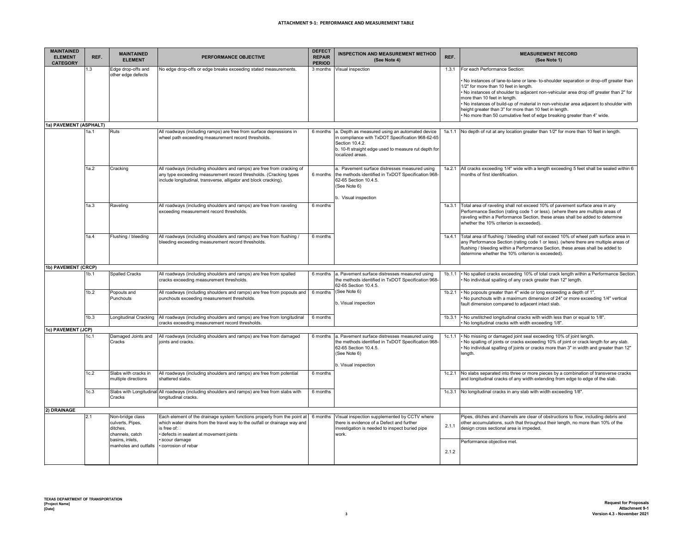### **ATTACHMENT 9-1: PERFORMANCE AND MEASUREMENT TABLE**

| <b>MAINTAINED</b><br><b>ELEMENT</b><br><b>CATEGORY</b> | REF.             | <b>MAINTAINED</b><br><b>ELEMENT</b>                                                    | <b>PERFORMANCE OBJECTIVE</b>                                                                                                                                                                                                       | <b>DEFECT</b><br><b>REPAIR</b><br><b>PERIOD</b> | <b>INSPECTION AND MEASUREMENT METHOD</b><br>(See Note 4)                                                                                                                                          | REF.   | <b>MEASUREMENT RECORD</b><br>(See Note 1)                                                                                                                                                                                                                                                                                                                                                                                                                                                 |
|--------------------------------------------------------|------------------|----------------------------------------------------------------------------------------|------------------------------------------------------------------------------------------------------------------------------------------------------------------------------------------------------------------------------------|-------------------------------------------------|---------------------------------------------------------------------------------------------------------------------------------------------------------------------------------------------------|--------|-------------------------------------------------------------------------------------------------------------------------------------------------------------------------------------------------------------------------------------------------------------------------------------------------------------------------------------------------------------------------------------------------------------------------------------------------------------------------------------------|
|                                                        | 1.3              | Edge drop-offs and                                                                     | No edge drop-offs or edge breaks exceeding stated measurements.                                                                                                                                                                    | 3 months                                        | Visual inspection                                                                                                                                                                                 | 1.3.1  | For each Performance Section:                                                                                                                                                                                                                                                                                                                                                                                                                                                             |
|                                                        |                  | other edge defects                                                                     |                                                                                                                                                                                                                                    |                                                 |                                                                                                                                                                                                   |        | No instances of lane-to-lane or lane- to-shoulder separation or drop-off greater than<br>1/2" for more than 10 feet in length.<br>. No instances of shoulder to adjacent non-vehicular area drop off greater than 2" for<br>more than 10 feet in length.<br>. No instances of build-up of material in non-vehicular area adjacent to shoulder with<br>height greater than 3" for more than 10 feet in length.<br>. No more than 50 cumulative feet of edge breaking greater than 4" wide. |
| 1a) PAVEMENT (ASPHALT)                                 |                  |                                                                                        |                                                                                                                                                                                                                                    |                                                 |                                                                                                                                                                                                   |        |                                                                                                                                                                                                                                                                                                                                                                                                                                                                                           |
|                                                        | 1a 1             | <b>Ruts</b>                                                                            | All roadways (including ramps) are free from surface depressions in<br>wheel path exceeding measurement record thresholds.                                                                                                         | 6 months                                        | a. Depth as measured using an automated device<br>in compliance with TxDOT Specification 968-62-65<br>Section 10.4.2.<br>b. 10-ft straight edge used to measure rut depth for<br>localized areas. | 1a.1.1 | No depth of rut at any location greater than 1/2" for more than 10 feet in length.                                                                                                                                                                                                                                                                                                                                                                                                        |
|                                                        | 1a.2             | Cracking                                                                               | All roadways (including shoulders and ramps) are free from cracking of<br>any type exceeding measurement record thresholds. (Cracking types<br>include longitudinal, transverse, alligator and block cracking).                    | 6 months                                        | a. Pavement surface distresses measured using<br>the methods identified in TxDOT Specification 968-<br>62-65 Section 10.4.5.<br>(See Note 6)<br>b. Visual inspection                              | 1a.2.1 | All cracks exceeding 1/4" wide with a length exceeding 5 feet shall be sealed within 6<br>months of first identification.                                                                                                                                                                                                                                                                                                                                                                 |
|                                                        | 1a.3             | Raveling                                                                               | All roadways (including shoulders and ramps) are free from raveling<br>exceeding measurement record thresholds.                                                                                                                    | 6 months                                        |                                                                                                                                                                                                   | 1a.3.1 | Total area of raveling shall not exceed 10% of pavement surface area in any<br>Performance Section (rating code 1 or less). (where there are multiple areas of<br>raveling within a Performance Section, these areas shall be added to determine<br>whether the 10% criterion is exceeded).                                                                                                                                                                                               |
|                                                        | 1a.4             | Flushing / bleeding                                                                    | All roadways (including shoulders and ramps) are free from flushing /<br>bleeding exceeding measurement record thresholds.                                                                                                         | 6 months                                        |                                                                                                                                                                                                   | 1a.4.1 | Total area of flushing / bleeding shall not exceed 10% of wheel path surface area in<br>any Performance Section (rating code 1 or less). (where there are multiple areas of<br>flushing / bleeding within a Performance Section, these areas shall be added to<br>determine whether the 10% criterion is exceeded).                                                                                                                                                                       |
| 1b) PAVEMENT (CRCP)                                    |                  |                                                                                        |                                                                                                                                                                                                                                    |                                                 |                                                                                                                                                                                                   |        |                                                                                                                                                                                                                                                                                                                                                                                                                                                                                           |
|                                                        | 1 <sub>b.1</sub> | <b>Spalled Cracks</b>                                                                  | All roadways (including shoulders and ramps) are free from spalled<br>cracks exceeding measurement thresholds.                                                                                                                     | 6 months                                        | a. Pavement surface distresses measured using<br>the methods identified in TxDOT Specification 968-<br>62-65 Section 10.4.5.                                                                      | 1b.1.1 | . No spalled cracks exceeding 10% of total crack length within a Performance Section.<br>. No individual spalling of any crack greater than 12" length.                                                                                                                                                                                                                                                                                                                                   |
|                                                        | 1b.2             | Popouts and<br>Punchouts                                                               | All roadways (including shoulders and ramps) are free from popouts and<br>punchouts exceeding measurement thresholds.                                                                                                              | 6 months                                        | (See Note 6)<br>b. Visual inspection                                                                                                                                                              | 1b.2.1 | . No popouts greater than 4" wide or long exceeding a depth of 1".<br>No punchouts with a maximum dimension of 24" or more exceeding 1/4" vertical<br>fault dimension compared to adjacent intact slab.                                                                                                                                                                                                                                                                                   |
| 1c) PAVEMENT (JCP)                                     | 1 <sub>b.3</sub> | Longitudinal Cracking                                                                  | All roadways (including shoulders and ramps) are free from longitudinal<br>cracks exceeding measurement record thresholds                                                                                                          | 6 months                                        |                                                                                                                                                                                                   | 1b.3.1 | . No unstitched longitudinal cracks with width less than or equal to 1/8".<br>. No longitudinal cracks with width exceeding 1/8".                                                                                                                                                                                                                                                                                                                                                         |
|                                                        | 1c.1             | Damaged Joints and                                                                     | All roadways (including shoulders and ramps) are free from damaged                                                                                                                                                                 | 6 months                                        | a. Pavement surface distresses measured using                                                                                                                                                     | 1c.1.1 | No missing or damaged joint seal exceeding 10% of joint length.                                                                                                                                                                                                                                                                                                                                                                                                                           |
|                                                        |                  | Cracks                                                                                 | joints and cracks.                                                                                                                                                                                                                 |                                                 | the methods identified in TxDOT Specification 968-<br>62-65 Section 10.4.5.<br>(See Note 6)<br>b. Visual inspection                                                                               |        | . No spalling of joints or cracks exceeding 10% of joint or crack length for any slab.<br>. No individual spalling of joints or cracks more than 3" in width and greater than 12"<br>length.                                                                                                                                                                                                                                                                                              |
|                                                        | 1c.2             | Slabs with cracks in<br>multiple directions                                            | All roadways (including shoulders and ramps) are free from potential<br>shattered slabs.                                                                                                                                           | 6 months                                        |                                                                                                                                                                                                   | 1c.2.1 | No slabs separated into three or more pieces by a combination of transverse cracks<br>and longitudinal cracks of any width extending from edge to edge of the slab.                                                                                                                                                                                                                                                                                                                       |
|                                                        | 1c.3             | Cracks                                                                                 | Slabs with Longitudinal All roadways (including shoulders and ramps) are free from slabs with<br>longitudinal cracks.                                                                                                              | 6 months                                        |                                                                                                                                                                                                   | 1c.3.1 | No longitudinal cracks in any slab with width exceeding 1/8".                                                                                                                                                                                                                                                                                                                                                                                                                             |
| 2) DRAINAGE                                            |                  |                                                                                        |                                                                                                                                                                                                                                    |                                                 |                                                                                                                                                                                                   |        |                                                                                                                                                                                                                                                                                                                                                                                                                                                                                           |
|                                                        | 2.1              | Non-bridge class<br>culverts, Pipes,<br>ditches.<br>channels, catch<br>basins, inlets, | Each element of the drainage system functions properly from the point at<br>which water drains from the travel way to the outfall or drainage way and<br>is free of:□<br>· defects in sealant at movement joints<br>· scour damage | 6 months                                        | Visual inspection supplemented by CCTV where<br>there is evidence of a Defect and further<br>investigation is needed to inspect buried pipe<br>work.                                              | 2.1.1  | Pipes, ditches and channels are clear of obstructions to flow, including debris and<br>other accumulations, such that throughout their length, no more than 10% of the<br>design cross sectional area is impeded.                                                                                                                                                                                                                                                                         |
|                                                        |                  | manholes and outfalls                                                                  | . Corrosion of rebar                                                                                                                                                                                                               |                                                 |                                                                                                                                                                                                   | 2.1.2  | Performance objective met.                                                                                                                                                                                                                                                                                                                                                                                                                                                                |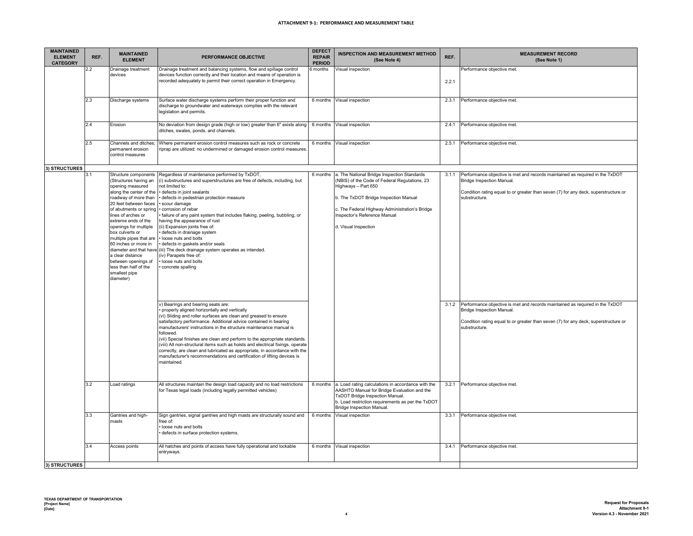| <b>MAINTAINED</b><br><b>ELEMENT</b><br><b>CATEGORY</b> | REF.       | <b>MAINTAINED</b><br><b>ELEMENT</b>                                                                                                                                                                                                                                                                                                                                                                                                             | PERFORMANCE OBJECTIVE                                                                                                                                                                                                                                                                                                                                                                                                                                                                                                                                                                                                                                                                                                                                                                                                                                                                                                                                                                                                                                                                                                                                                                                                                                                                         | <b>DEFECT</b><br><b>REPAIR</b><br><b>PERIOD</b> | <b>INSPECTION AND MEASUREMENT METHOD</b><br>(See Note 4)                                                                                                                                                                                                               | REF.  | <b>MEASUREMENT RECORD</b><br>(See Note 1)                                                                                                                                                                                                                                                                                                                                                                                                           |
|--------------------------------------------------------|------------|-------------------------------------------------------------------------------------------------------------------------------------------------------------------------------------------------------------------------------------------------------------------------------------------------------------------------------------------------------------------------------------------------------------------------------------------------|-----------------------------------------------------------------------------------------------------------------------------------------------------------------------------------------------------------------------------------------------------------------------------------------------------------------------------------------------------------------------------------------------------------------------------------------------------------------------------------------------------------------------------------------------------------------------------------------------------------------------------------------------------------------------------------------------------------------------------------------------------------------------------------------------------------------------------------------------------------------------------------------------------------------------------------------------------------------------------------------------------------------------------------------------------------------------------------------------------------------------------------------------------------------------------------------------------------------------------------------------------------------------------------------------|-------------------------------------------------|------------------------------------------------------------------------------------------------------------------------------------------------------------------------------------------------------------------------------------------------------------------------|-------|-----------------------------------------------------------------------------------------------------------------------------------------------------------------------------------------------------------------------------------------------------------------------------------------------------------------------------------------------------------------------------------------------------------------------------------------------------|
|                                                        | 2.2        | Drainage treatment<br>devices                                                                                                                                                                                                                                                                                                                                                                                                                   | Drainage treatment and balancing systems, flow and spillage control<br>devices function correctly and their location and means of operation is<br>recorded adequately to permit their correct operation in Emergency.                                                                                                                                                                                                                                                                                                                                                                                                                                                                                                                                                                                                                                                                                                                                                                                                                                                                                                                                                                                                                                                                         | 3 months                                        | Visual inspection                                                                                                                                                                                                                                                      | 2.2.1 | Performance objective met.                                                                                                                                                                                                                                                                                                                                                                                                                          |
|                                                        | 2.3        | Discharge systems                                                                                                                                                                                                                                                                                                                                                                                                                               | Surface water discharge systems perform their proper function and<br>discharge to groundwater and waterways complies with the relevant<br>legislation and permits.                                                                                                                                                                                                                                                                                                                                                                                                                                                                                                                                                                                                                                                                                                                                                                                                                                                                                                                                                                                                                                                                                                                            | 6 months                                        | Visual inspection                                                                                                                                                                                                                                                      | 2.3.1 | Performance objective met.                                                                                                                                                                                                                                                                                                                                                                                                                          |
|                                                        | 2.4        | Erosion                                                                                                                                                                                                                                                                                                                                                                                                                                         | No deviation from design grade (high or low) greater than 6" exists along<br>ditches, swales, ponds, and channels.                                                                                                                                                                                                                                                                                                                                                                                                                                                                                                                                                                                                                                                                                                                                                                                                                                                                                                                                                                                                                                                                                                                                                                            | 6 months                                        | Visual inspection                                                                                                                                                                                                                                                      | 2.4.1 | Performance objective met.                                                                                                                                                                                                                                                                                                                                                                                                                          |
|                                                        | 2.5        | Channels and ditches<br>permanent erosion<br>control measures                                                                                                                                                                                                                                                                                                                                                                                   | Where permanent erosion control measures such as rock or concrete<br>riprap are utilized: no undermined or damaged erosion control measures                                                                                                                                                                                                                                                                                                                                                                                                                                                                                                                                                                                                                                                                                                                                                                                                                                                                                                                                                                                                                                                                                                                                                   |                                                 | 6 months Visual inspection                                                                                                                                                                                                                                             | 2.5.1 | Performance objective met.                                                                                                                                                                                                                                                                                                                                                                                                                          |
| 3) STRUCTURES                                          |            |                                                                                                                                                                                                                                                                                                                                                                                                                                                 |                                                                                                                                                                                                                                                                                                                                                                                                                                                                                                                                                                                                                                                                                                                                                                                                                                                                                                                                                                                                                                                                                                                                                                                                                                                                                               |                                                 |                                                                                                                                                                                                                                                                        |       |                                                                                                                                                                                                                                                                                                                                                                                                                                                     |
|                                                        | 3.1        | Structure components<br>(Structures having an<br>opening measured<br>along the center of the<br>roadway of more than<br>20 feet between faces<br>of abutments or spring<br>lines of arches or<br>extreme ends of the<br>openings for multiple<br>box culverts or<br>multiple pipes that are<br>60 inches or more in<br>diameter and that have<br>a clear distance<br>between openings of<br>less than half of the<br>smallest pipe<br>diameter) | Regardless of maintenance performed by TxDOT,<br>(i) substructures and superstructures are free of defects, including, but<br>not limited to:<br>defects in joint sealants<br>defects in pedestrian protection measure<br>scour damage<br>· corrosion of rebar<br>failure of any paint system that includes flaking, peeling, bubbling, or<br>having the appearance of rust<br>(ii) Expansion joints free of:<br>defects in drainage system<br>loose nuts and bolts<br>defects in gaskets and/or seals<br>(iii) The deck drainage system operates as intended.<br>(iv) Parapets free of:<br>loose nuts and bolts<br>concrete spalling<br>v) Bearings and bearing seats are:<br>properly aligned horizontally and vertically<br>(vi) Sliding and roller surfaces are clean and greased to ensure<br>satisfactory performance. Additional advice contained in bearing<br>manufacturers' instructions in the structure maintenance manual is<br>followed.<br>(vii) Special finishes are clean and perform to the appropriate standards.<br>(viii) All non-structural items such as hoists and electrical fixings, operate<br>correctly, are clean and lubricated as appropriate, in accordance with the<br>manufacturer's recommendations and certification of lifting devices is<br>maintained. | 6 months                                        | a. The National Bridge Inspection Standards<br>(NBIS) of the Code of Federal Regulations, 23<br>Highways - Part 650<br>b. The TxDOT Bridge Inspection Manual<br>c. The Federal Highway Administration's Bridge<br>Inspector's Reference Manual<br>d. Visual Inspection | 3.1.1 | Performance objective is met and records maintained as required in the TxDOT<br>Bridge Inspection Manual.<br>Condition rating equal to or greater than seven (7) for any deck, superstructure or<br>substructure.<br>3.1.2 Performance objective is met and records maintained as required in the TxDOT<br><b>Bridge Inspection Manual.</b><br>Condition rating equal to or greater than seven (7) for any deck, superstructure or<br>substructure. |
|                                                        | 3.2<br>3.3 | Load ratings<br>Gantries and high-                                                                                                                                                                                                                                                                                                                                                                                                              | All structures maintain the design load capacity and no load restrictions<br>for Texas legal loads (including legally permitted vehicles)<br>Sign gantries, signal gantries and high masts are structurally sound and<br>free of:                                                                                                                                                                                                                                                                                                                                                                                                                                                                                                                                                                                                                                                                                                                                                                                                                                                                                                                                                                                                                                                             | 6 months<br>6 months                            | a. Load rating calculations in accordance with the<br>AASHTO Manual for Bridge Evaluation and the<br>TxDOT Bridge Inspection Manual.<br>b. Load restriction requirements as per the TxDOT<br>Bridge Inspection Manual.<br>Visual inspection                            | 3.3.1 | 3.2.1 Performance objective met.<br>Performance objective met.                                                                                                                                                                                                                                                                                                                                                                                      |
|                                                        |            | masts                                                                                                                                                                                                                                                                                                                                                                                                                                           | loose nuts and bolts<br>defects in surface protection systems.                                                                                                                                                                                                                                                                                                                                                                                                                                                                                                                                                                                                                                                                                                                                                                                                                                                                                                                                                                                                                                                                                                                                                                                                                                |                                                 |                                                                                                                                                                                                                                                                        |       |                                                                                                                                                                                                                                                                                                                                                                                                                                                     |
|                                                        | 3.4        | Access points                                                                                                                                                                                                                                                                                                                                                                                                                                   | All hatches and points of access have fully operational and lockable<br>entryways.                                                                                                                                                                                                                                                                                                                                                                                                                                                                                                                                                                                                                                                                                                                                                                                                                                                                                                                                                                                                                                                                                                                                                                                                            | 6 months                                        | Visual inspection                                                                                                                                                                                                                                                      | 3.4.1 | Performance objective met.                                                                                                                                                                                                                                                                                                                                                                                                                          |
| 3) STRUCTURES                                          |            |                                                                                                                                                                                                                                                                                                                                                                                                                                                 |                                                                                                                                                                                                                                                                                                                                                                                                                                                                                                                                                                                                                                                                                                                                                                                                                                                                                                                                                                                                                                                                                                                                                                                                                                                                                               |                                                 |                                                                                                                                                                                                                                                                        |       |                                                                                                                                                                                                                                                                                                                                                                                                                                                     |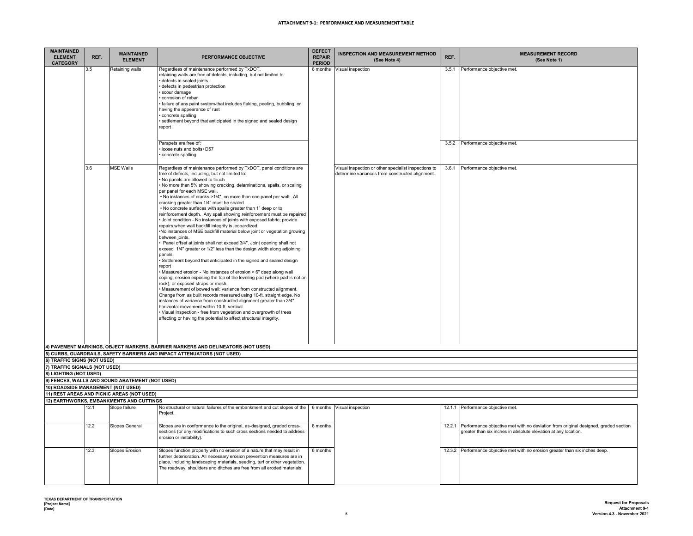| <b>MAINTAINED</b><br><b>ELEMENT</b><br><b>CATEGORY</b> | REF.                                       | <b>MAINTAINED</b><br><b>ELEMENT</b>                       | PERFORMANCE OBJECTIVE                                                                                                                        | <b>DEFECT</b><br><b>REPAIR</b><br><b>PERIOD</b> | <b>INSPECTION AND MEASUREMENT METHOD</b><br>(See Note 4) | REF.   | <b>MEASUREMENT RECORD</b><br>(See Note 1)                                          |  |  |
|--------------------------------------------------------|--------------------------------------------|-----------------------------------------------------------|----------------------------------------------------------------------------------------------------------------------------------------------|-------------------------------------------------|----------------------------------------------------------|--------|------------------------------------------------------------------------------------|--|--|
|                                                        | 3.5                                        | Retaining walls                                           | Regardless of maintenance performed by TxDOT,                                                                                                | 6 months                                        | Visual inspection                                        | 3.5.1  | Performance objective met.                                                         |  |  |
|                                                        |                                            |                                                           | retaining walls are free of defects, including, but not limited to:<br>defects in sealed joints                                              |                                                 |                                                          |        |                                                                                    |  |  |
|                                                        |                                            |                                                           | defects in pedestrian protection                                                                                                             |                                                 |                                                          |        |                                                                                    |  |  |
|                                                        |                                            |                                                           | scour damage                                                                                                                                 |                                                 |                                                          |        |                                                                                    |  |  |
|                                                        |                                            |                                                           | corrosion of rebar                                                                                                                           |                                                 |                                                          |        |                                                                                    |  |  |
|                                                        |                                            |                                                           | failure of any paint system-that includes flaking, peeling, bubbling, or<br>having the appearance of rust                                    |                                                 |                                                          |        |                                                                                    |  |  |
|                                                        |                                            |                                                           | concrete spalling                                                                                                                            |                                                 |                                                          |        |                                                                                    |  |  |
|                                                        |                                            |                                                           | settlement beyond that anticipated in the signed and sealed design                                                                           |                                                 |                                                          |        |                                                                                    |  |  |
|                                                        |                                            |                                                           | report                                                                                                                                       |                                                 |                                                          |        |                                                                                    |  |  |
|                                                        |                                            |                                                           |                                                                                                                                              |                                                 |                                                          |        |                                                                                    |  |  |
|                                                        |                                            |                                                           | Parapets are free of:<br>loose nuts and bolts+D57                                                                                            |                                                 |                                                          | 3.5.2  | Performance objective met.                                                         |  |  |
|                                                        |                                            |                                                           | concrete spalling                                                                                                                            |                                                 |                                                          |        |                                                                                    |  |  |
|                                                        |                                            |                                                           |                                                                                                                                              |                                                 |                                                          |        |                                                                                    |  |  |
|                                                        | 3.6                                        | <b>MSE Walls</b>                                          | Regardless of maintenance performed by TxDOT, panel conditions are                                                                           |                                                 | Visual inspection or other specialist inspections to     | 3.6.1  | Performance objective met.                                                         |  |  |
|                                                        |                                            |                                                           | free of defects, including, but not limited to:<br>No panels are allowed to touch                                                            |                                                 | determine variances from constructed alignment.          |        |                                                                                    |  |  |
|                                                        |                                            |                                                           | No more than 5% showing cracking, delaminations, spalls, or scaling                                                                          |                                                 |                                                          |        |                                                                                    |  |  |
|                                                        |                                            |                                                           | per panel for each MSE wall.                                                                                                                 |                                                 |                                                          |        |                                                                                    |  |  |
|                                                        |                                            |                                                           | . No instances of cracks >1/4", on more than one panel per wall. All<br>cracking greater than 1/4" must be sealed                            |                                                 |                                                          |        |                                                                                    |  |  |
|                                                        |                                            |                                                           | . No concrete surfaces with spalls greater than 1" deep or to                                                                                |                                                 |                                                          |        |                                                                                    |  |  |
|                                                        |                                            |                                                           | reinforcement depth. Any spall showing reinforcement must be repaired                                                                        |                                                 |                                                          |        |                                                                                    |  |  |
|                                                        |                                            |                                                           | Joint condition - No instances of joints with exposed fabric; provide<br>repairs when wall backfill integrity is jeopardized.                |                                                 |                                                          |        |                                                                                    |  |  |
|                                                        |                                            |                                                           | .No instances of MSE backfill material below joint or vegetation growing                                                                     |                                                 |                                                          |        |                                                                                    |  |  |
|                                                        |                                            |                                                           | between joints.                                                                                                                              |                                                 |                                                          |        |                                                                                    |  |  |
|                                                        |                                            |                                                           | Panel offset at joints shall not exceed 3/4". Joint opening shall not                                                                        |                                                 |                                                          |        |                                                                                    |  |  |
|                                                        |                                            |                                                           | exceed 1/4" greater or 1/2" less than the design width along adjoining<br>panels.                                                            |                                                 |                                                          |        |                                                                                    |  |  |
|                                                        |                                            |                                                           | Settlement beyond that anticipated in the signed and sealed design                                                                           |                                                 |                                                          |        |                                                                                    |  |  |
|                                                        |                                            |                                                           | report                                                                                                                                       |                                                 |                                                          |        |                                                                                    |  |  |
|                                                        |                                            |                                                           | Measured erosion - No instances of erosion > 6" deep along wall<br>coping, erosion exposing the top of the leveling pad (where pad is not on |                                                 |                                                          |        |                                                                                    |  |  |
|                                                        |                                            |                                                           | rock), or exposed straps or mesh.                                                                                                            |                                                 |                                                          |        |                                                                                    |  |  |
|                                                        |                                            |                                                           | Measurement of bowed wall: variance from constructed alignment.                                                                              |                                                 |                                                          |        |                                                                                    |  |  |
|                                                        |                                            |                                                           | Change from as built records measured using 10-ft. straight edge. No<br>instances of variance from constructed alignment greater than 3/4"   |                                                 |                                                          |        |                                                                                    |  |  |
|                                                        |                                            |                                                           | horizontal movement within 10-ft. vertical.                                                                                                  |                                                 |                                                          |        |                                                                                    |  |  |
|                                                        |                                            |                                                           | Visual Inspection - free from vegetation and overgrowth of trees                                                                             |                                                 |                                                          |        |                                                                                    |  |  |
|                                                        |                                            |                                                           | affecting or having the potential to affect structural integrity.                                                                            |                                                 |                                                          |        |                                                                                    |  |  |
|                                                        |                                            |                                                           |                                                                                                                                              |                                                 |                                                          |        |                                                                                    |  |  |
|                                                        |                                            |                                                           |                                                                                                                                              |                                                 |                                                          |        |                                                                                    |  |  |
|                                                        |                                            |                                                           | 4) PAVEMENT MARKINGS, OBJECT MARKERS, BARRIER MARKERS AND DELINEATORS (NOT USED)                                                             |                                                 |                                                          |        |                                                                                    |  |  |
| 6) TRAFFIC SIGNS (NOT USED)                            |                                            |                                                           | 5) CURBS, GUARDRAILS, SAFETY BARRIERS AND IMPACT ATTENUATORS (NOT USED)                                                                      |                                                 |                                                          |        |                                                                                    |  |  |
| 7) TRAFFIC SIGNALS (NOT USED)                          |                                            |                                                           |                                                                                                                                              |                                                 |                                                          |        |                                                                                    |  |  |
| 8) LIGHTING (NOT USED)                                 |                                            |                                                           |                                                                                                                                              |                                                 |                                                          |        |                                                                                    |  |  |
|                                                        |                                            | 9) FENCES, WALLS AND SOUND ABATEMENT (NOT USED)           |                                                                                                                                              |                                                 |                                                          |        |                                                                                    |  |  |
| 10) ROADSIDE MANAGEMENT (NOT USED)                     |                                            |                                                           |                                                                                                                                              |                                                 |                                                          |        |                                                                                    |  |  |
|                                                        | 11) REST AREAS AND PICNIC AREAS (NOT USED) |                                                           |                                                                                                                                              |                                                 |                                                          |        |                                                                                    |  |  |
|                                                        | 12.1                                       | 12) EARTHWORKS, EMBANKMENTS AND CUTTINGS<br>Slope failure | No structural or natural failures of the embankment and cut slopes of the                                                                    |                                                 | 6 months Visual inspection                               |        | 12.1.1 Performance objective met.                                                  |  |  |
|                                                        |                                            |                                                           | Project.                                                                                                                                     |                                                 |                                                          |        |                                                                                    |  |  |
|                                                        | 12.2                                       | Slopes General                                            | Slopes are in conformance to the original, as-designed, graded cross-                                                                        | 6 months                                        |                                                          | 12.2.1 | Performance objective met with no deviation from original designed, graded section |  |  |
|                                                        |                                            |                                                           | sections (or any modifications to such cross sections needed to address                                                                      |                                                 |                                                          |        | greater than six inches in absolute elevation at any location.                     |  |  |
|                                                        |                                            |                                                           | erosion or instability).                                                                                                                     |                                                 |                                                          |        |                                                                                    |  |  |
|                                                        | 12.3                                       | <b>Slopes Erosion</b>                                     | Slopes function properly with no erosion of a nature that may result in                                                                      | 6 months                                        |                                                          |        | 12.3.2 Performance objective met with no erosion greater than six inches deep.     |  |  |
|                                                        |                                            |                                                           | further deterioration. All necessary erosion prevention measures are in                                                                      |                                                 |                                                          |        |                                                                                    |  |  |
|                                                        |                                            |                                                           | place, including landscaping materials, seeding, turf or other vegetation.                                                                   |                                                 |                                                          |        |                                                                                    |  |  |
|                                                        |                                            |                                                           | The roadway, shoulders and ditches are free from all eroded materials.                                                                       |                                                 |                                                          |        |                                                                                    |  |  |
|                                                        |                                            |                                                           |                                                                                                                                              |                                                 |                                                          |        |                                                                                    |  |  |